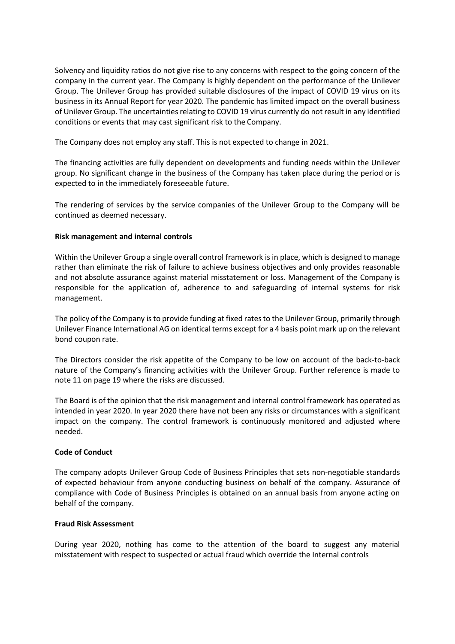Solvency and liquidity ratios do not give rise to any concerns with respect to the going concern of the company in the current year. The Company is highly dependent on the performance of the Unilever Group. The Unilever Group has provided suitable disclosures of the impact of COVID 19 virus on its business in its Annual Report for year 2020. The pandemic has limited impact on the overall business of Unilever Group. The uncertainties relating to COVID 19 virus currently do not result in any identified conditions or events that may cast significant risk to the Company.

The Company does not employ any staff. This is not expected to change in 2021.

The financing activities are fully dependent on developments and funding needs within the Unilever group. No significant change in the business of the Company has taken place during the period or is expected to in the immediately foreseeable future.

The rendering of services by the service companies of the Unilever Group to the Company will be continued as deemed necessary.

## **Risk management and internal controls**

Within the Unilever Group a single overall control framework is in place, which is designed to manage rather than eliminate the risk of failure to achieve business objectives and only provides reasonable and not absolute assurance against material misstatement or loss. Management of the Company is responsible for the application of, adherence to and safeguarding of internal systems for risk management.

The policy of the Company is to provide funding at fixed ratesto the Unilever Group, primarily through Unilever Finance International AG on identical terms except for a 4 basis point mark up on the relevant bond coupon rate.

The Directors consider the risk appetite of the Company to be low on account of the back-to-back nature of the Company's financing activities with the Unilever Group. Further reference is made to note 11 on page 19 where the risks are discussed.

The Board is of the opinion that the risk management and internal control framework has operated as intended in year 2020. In year 2020 there have not been any risks or circumstances with a significant impact on the company. The control framework is continuously monitored and adjusted where needed.

## **Code of Conduct**

The company adopts Unilever Group Code of Business Principles that sets non-negotiable standards of expected behaviour from anyone conducting business on behalf of the company. Assurance of compliance with Code of Business Principles is obtained on an annual basis from anyone acting on behalf of the company.

## **Fraud Risk Assessment**

During year 2020, nothing has come to the attention of the board to suggest any material misstatement with respect to suspected or actual fraud which override the Internal controls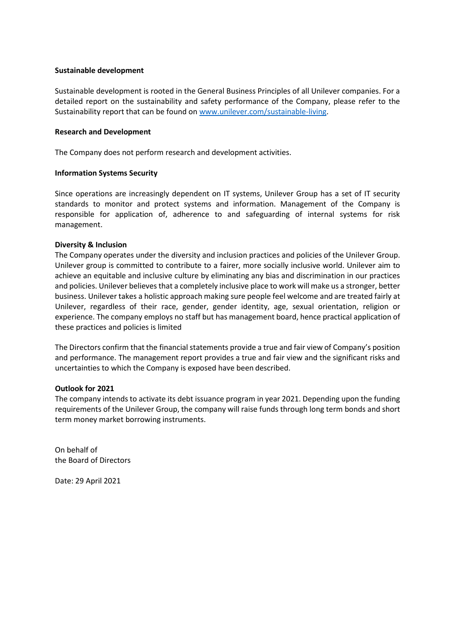#### **Sustainable development**

Sustainable development is rooted in the General Business Principles of all Unilever companies. For a detailed report on the sustainability and safety performance of the Company, please refer to the Sustainability report that can be found on [www.unilever.com/sustainable-living.](http://www.unilever.com/sustainable-living)

## **Research and Development**

The Company does not perform research and development activities.

#### **Information Systems Security**

Since operations are increasingly dependent on IT systems, Unilever Group has a set of IT security standards to monitor and protect systems and information. Management of the Company is responsible for application of, adherence to and safeguarding of internal systems for risk management.

#### **Diversity & Inclusion**

The Company operates under the diversity and inclusion practices and policies of the Unilever Group. Unilever group is committed to contribute to a fairer, more socially inclusive world. Unilever aim to achieve an equitable and inclusive culture by eliminating any bias and discrimination in our practices and policies. Unilever believes that a completely inclusive place to work will make us a stronger, better business. Unilever takes a holistic approach making sure people feel welcome and are treated fairly at Unilever, regardless of their race, gender, gender identity, age, sexual orientation, religion or experience. The company employs no staff but has management board, hence practical application of these practices and policies is limited

The Directors confirm that the financial statements provide a true and fair view of Company's position and performance. The management report provides a true and fair view and the significant risks and uncertainties to which the Company is exposed have been described.

## **Outlook for 2021**

The company intends to activate its debt issuance program in year 2021. Depending upon the funding requirements of the Unilever Group, the company will raise funds through long term bonds and short term money market borrowing instruments.

On behalf of the Board of Directors

Date: 29 April 2021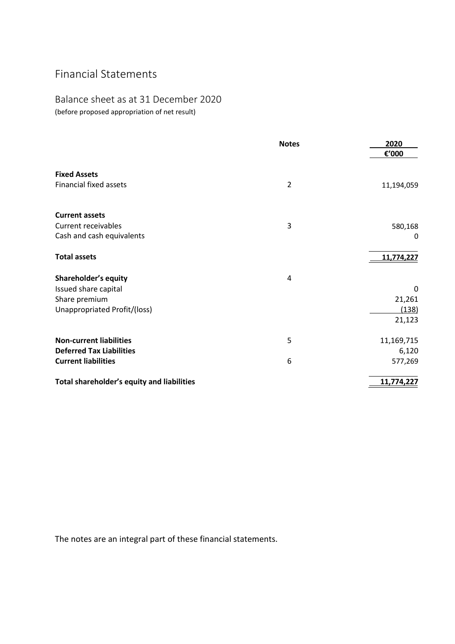# Financial Statements

## Balance sheet as at 31 December 2020 (before proposed appropriation of net result)

|                                            | <b>Notes</b>   | 2020<br>€'000 |
|--------------------------------------------|----------------|---------------|
| <b>Fixed Assets</b>                        |                |               |
| <b>Financial fixed assets</b>              | $\overline{2}$ | 11,194,059    |
| <b>Current assets</b>                      |                |               |
| <b>Current receivables</b>                 | 3              | 580,168       |
| Cash and cash equivalents                  |                | 0             |
| <b>Total assets</b>                        |                | 11,774,227    |
| Shareholder's equity                       | 4              |               |
| Issued share capital                       |                | 0             |
| Share premium                              |                | 21,261        |
| Unappropriated Profit/(loss)               |                | (138)         |
|                                            |                | 21,123        |
| <b>Non-current liabilities</b>             | 5              | 11,169,715    |
| <b>Deferred Tax Liabilities</b>            |                | 6,120         |
| <b>Current liabilities</b>                 | 6              | 577,269       |
| Total shareholder's equity and liabilities |                | 11,774,227    |

The notes are an integral part of these financial statements.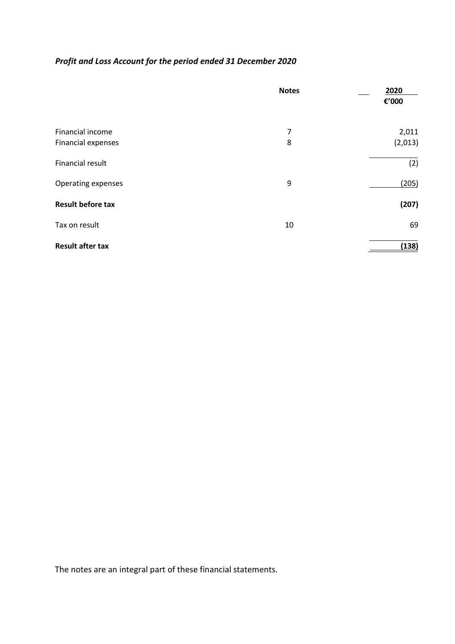## *Profit and Loss Account for the period ended 31 December 2020*

|                          | <b>Notes</b> | 2020<br>€'000 |
|--------------------------|--------------|---------------|
| Financial income         | 7            | 2,011         |
| Financial expenses       | 8            | (2,013)       |
| Financial result         |              | (2)           |
| Operating expenses       | 9            | (205)         |
| <b>Result before tax</b> |              | (207)         |
| Tax on result            | 10           | 69            |
| <b>Result after tax</b>  |              | (138)         |

The notes are an integral part of these financial statements.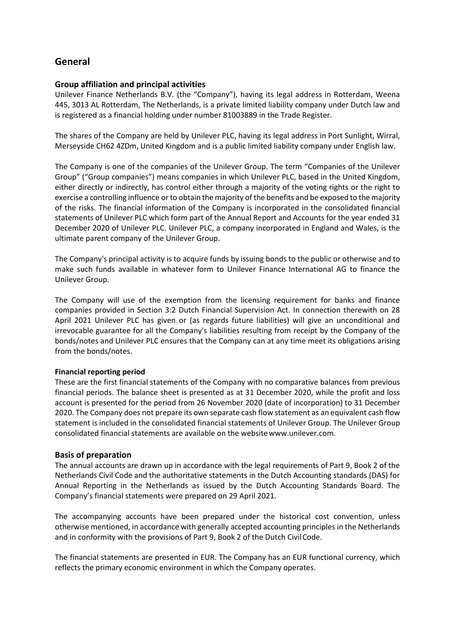## **General**

## **Group affiliation and principal activities**

Unilever Finance Netherlands B.V. (the "Company"), having its legal address in Rotterdam, Weena 445, 3013 AL Rotterdam, The Netherlands, is a private limited liability company under Dutch law and is registered as a financial holding under number 81003889 in the Trade Register.

The shares of the Company are held by Unilever PLC, having its legal address in Port Sunlight, Wirral, Merseyside CH62 4ZDm, United Kingdom and is a public limited liability company under English law.

The Company is one of the companies of the Unilever Group. The term "Companies of the Unilever Group" ("Group companies") means companies in which Unilever PLC, based in the United Kingdom, either directly or indirectly, has control either through a majority of the voting rights or the right to exercise a controlling influence orto obtain the majority of the benefits and be exposed to the majority of the risks. The financial information of the Company is incorporated in the consolidated financial statements of Unilever PLC which form part of the Annual Report and Accounts for the year ended 31 December 2020 of Unilever PLC. Unilever PLC, a company incorporated in England and Wales, is the ultimate parent company of the Unilever Group.

The Company's principal activity is to acquire funds by issuing bonds to the public or otherwise and to make such funds available in whatever form to Unilever Finance International AG to finance the Unilever Group.

The Company will use of the exemption from the licensing requirement for banks and finance companies provided in Section 3:2 Dutch Financial Supervision Act. In connection therewith on 28 April 2021 Unilever PLC has given or (as regards future liabilities) will give an unconditional and irrevocable guarantee for all the Company's liabilities resulting from receipt by the Company of the bonds/notes and Unilever PLC ensures that the Company can at any time meet its obligations arising from the bonds/notes.

## **Financial reporting period**

These are the first financial statements of the Company with no comparative balances from previous financial periods. The balance sheet is presented as at 31 December 2020, while the profit and loss account is presented for the period from 26 November 2020 (date of incorporation) to 31 December 2020. The Company does not prepare its own separate cash flow statement as an equivalent cash flow statement is included in the consolidated financial statements of Unilever Group. The Unilever Group consolidated financial statements are available on the websit[ewww.unilever.com.](http://www.unilever.com/)

## **Basis of preparation**

The annual accounts are drawn up in accordance with the legal requirements of Part 9, Book 2 of the Netherlands Civil Code and the authoritative statements in the Dutch Accounting standards (DAS) for Annual Reporting in the Netherlands as issued by the Dutch Accounting Standards Board. The Company's financial statements were prepared on 29 April 2021.

The accompanying accounts have been prepared under the historical cost convention, unless otherwise mentioned, in accordance with generally accepted accounting principles in the Netherlands and in conformity with the provisions of Part 9, Book 2 of the Dutch Civil Code.

The financial statements are presented in EUR. The Company has an EUR functional currency, which reflects the primary economic environment in which the Company operates.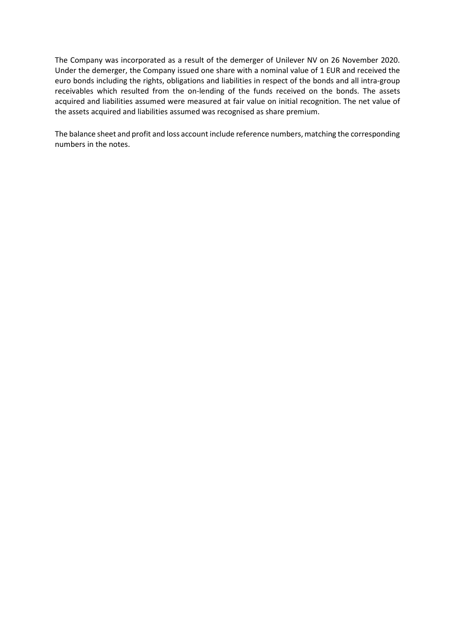The Company was incorporated as a result of the demerger of Unilever NV on 26 November 2020. Under the demerger, the Company issued one share with a nominal value of 1 EUR and received the euro bonds including the rights, obligations and liabilities in respect of the bonds and all intra-group receivables which resulted from the on-lending of the funds received on the bonds. The assets acquired and liabilities assumed were measured at fair value on initial recognition. The net value of the assets acquired and liabilities assumed was recognised as share premium.

The balance sheet and profit and loss account include reference numbers, matching the corresponding numbers in the notes.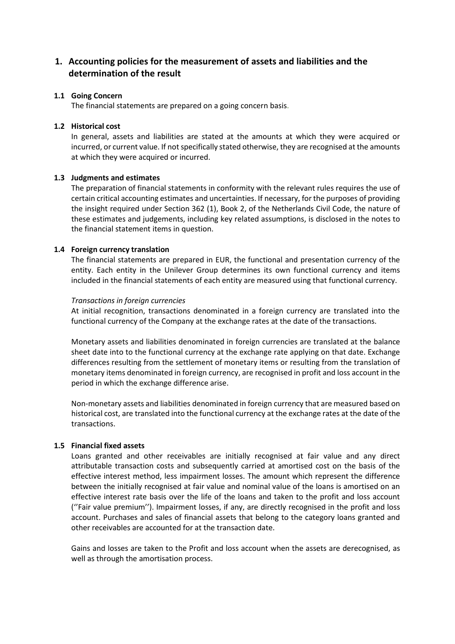## **1. Accounting policies for the measurement of assets and liabilities and the determination of the result**

## **1.1 Going Concern**

The financial statements are prepared on a going concern basis.

## **1.2 Historical cost**

In general, assets and liabilities are stated at the amounts at which they were acquired or incurred, or current value. If not specifically stated otherwise, they are recognised at the amounts at which they were acquired or incurred.

#### **1.3 Judgments and estimates**

The preparation of financial statements in conformity with the relevant rules requires the use of certain critical accounting estimates and uncertainties. If necessary, for the purposes of providing the insight required under Section 362 (1), Book 2, of the Netherlands Civil Code, the nature of these estimates and judgements, including key related assumptions, is disclosed in the notes to the financial statement items in question.

#### **1.4 Foreign currency translation**

The financial statements are prepared in EUR, the functional and presentation currency of the entity. Each entity in the Unilever Group determines its own functional currency and items included in the financial statements of each entity are measured using that functional currency.

#### *Transactions in foreign currencies*

At initial recognition, transactions denominated in a foreign currency are translated into the functional currency of the Company at the exchange rates at the date of the transactions.

Monetary assets and liabilities denominated in foreign currencies are translated at the balance sheet date into to the functional currency at the exchange rate applying on that date. Exchange differences resulting from the settlement of monetary items or resulting from the translation of monetary items denominated in foreign currency, are recognised in profit and loss account in the period in which the exchange difference arise.

Non-monetary assets and liabilities denominated in foreign currency that are measured based on historical cost, are translated into the functional currency at the exchange rates at the date of the transactions.

## **1.5 Financial fixed assets**

Loans granted and other receivables are initially recognised at fair value and any direct attributable transaction costs and subsequently carried at amortised cost on the basis of the effective interest method, less impairment losses. The amount which represent the difference between the initially recognised at fair value and nominal value of the loans is amortised on an effective interest rate basis over the life of the loans and taken to the profit and loss account (''Fair value premium''). Impairment losses, if any, are directly recognised in the profit and loss account. Purchases and sales of financial assets that belong to the category loans granted and other receivables are accounted for at the transaction date.

Gains and losses are taken to the Profit and loss account when the assets are derecognised, as well as through the amortisation process.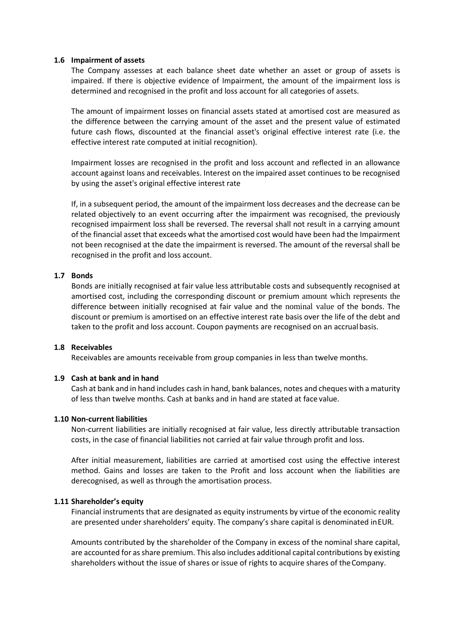## **1.6 Impairment of assets**

The Company assesses at each balance sheet date whether an asset or group of assets is impaired. If there is objective evidence of Impairment, the amount of the impairment loss is determined and recognised in the profit and loss account for all categories of assets.

The amount of impairment losses on financial assets stated at amortised cost are measured as the difference between the carrying amount of the asset and the present value of estimated future cash flows, discounted at the financial asset's original effective interest rate (i.e. the effective interest rate computed at initial recognition).

Impairment losses are recognised in the profit and loss account and reflected in an allowance account against loans and receivables. Interest on the impaired asset continues to be recognised by using the asset's original effective interest rate

If, in a subsequent period, the amount of the impairment loss decreases and the decrease can be related objectively to an event occurring after the impairment was recognised, the previously recognised impairment loss shall be reversed. The reversal shall not result in a carrying amount of the financial asset that exceeds what the amortised cost would have been had the Impairment not been recognised at the date the impairment is reversed. The amount of the reversal shall be recognised in the profit and loss account.

## **1.7 Bonds**

Bonds are initially recognised at fair value less attributable costs and subsequently recognised at amortised cost, including the corresponding discount or premium amount which represents the difference between initially recognised at fair value and the nominal value of the bonds. The discount or premium is amortised on an effective interest rate basis over the life of the debt and taken to the profit and loss account. Coupon payments are recognised on an accrual basis.

## **1.8 Receivables**

Receivables are amounts receivable from group companies in less than twelve months.

## **1.9 Cash at bank and in hand**

Cash at bank and in hand includes cash in hand, bank balances, notes and cheques with a maturity of less than twelve months. Cash at banks and in hand are stated at face value.

## **1.10 Non-current liabilities**

Non-current liabilities are initially recognised at fair value, less directly attributable transaction costs, in the case of financial liabilities not carried at fair value through profit and loss.

After initial measurement, liabilities are carried at amortised cost using the effective interest method. Gains and losses are taken to the Profit and loss account when the liabilities are derecognised, as well as through the amortisation process.

#### **1.11 Shareholder's equity**

Financial instruments that are designated as equity instruments by virtue of the economic reality are presented under shareholders' equity. The company's share capital is denominated inEUR.

Amounts contributed by the shareholder of the Company in excess of the nominal share capital, are accounted for asshare premium. This also includes additional capital contributions by existing shareholders without the issue of shares or issue of rights to acquire shares of theCompany.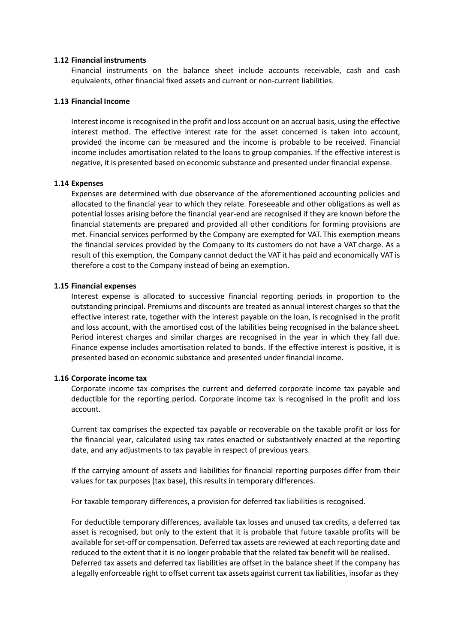#### **1.12 Financial instruments**

Financial instruments on the balance sheet include accounts receivable, cash and cash equivalents, other financial fixed assets and current or non-current liabilities.

#### **1.13 Financial Income**

Interest income isrecognised in the profit and loss account on an accrual basis, using the effective interest method. The effective interest rate for the asset concerned is taken into account, provided the income can be measured and the income is probable to be received. Financial income includes amortisation related to the loans to group companies. If the effective interest is negative, it is presented based on economic substance and presented under financial expense.

#### **1.14 Expenses**

Expenses are determined with due observance of the aforementioned accounting policies and allocated to the financial year to which they relate. Foreseeable and other obligations as well as potential losses arising before the financial year-end are recognised if they are known before the financial statements are prepared and provided all other conditions for forming provisions are met. Financial services performed by the Company are exempted for VAT. This exemption means the financial services provided by the Company to its customers do not have a VAT charge. As a result of this exemption, the Company cannot deduct the VAT it has paid and economically VAT is therefore a cost to the Company instead of being an exemption.

#### **1.15 Financial expenses**

Interest expense is allocated to successive financial reporting periods in proportion to the outstanding principal. Premiums and discounts are treated as annual interest charges so that the effective interest rate, together with the interest payable on the loan, is recognised in the profit and loss account, with the amortised cost of the labilities being recognised in the balance sheet. Period interest charges and similar charges are recognised in the year in which they fall due. Finance expense includes amortisation related to bonds. If the effective interest is positive, it is presented based on economic substance and presented under financial income.

#### **1.16 Corporate income tax**

Corporate income tax comprises the current and deferred corporate income tax payable and deductible for the reporting period. Corporate income tax is recognised in the profit and loss account.

Current tax comprises the expected tax payable or recoverable on the taxable profit or loss for the financial year, calculated using tax rates enacted or substantively enacted at the reporting date, and any adjustments to tax payable in respect of previous years.

If the carrying amount of assets and liabilities for financial reporting purposes differ from their values for tax purposes (tax base), this results in temporary differences.

For taxable temporary differences, a provision for deferred tax liabilities is recognised.

For deductible temporary differences, available tax losses and unused tax credits, a deferred tax asset is recognised, but only to the extent that it is probable that future taxable profits will be available for set-off or compensation. Deferred tax assets are reviewed at each reporting date and reduced to the extent that it is no longer probable that the related tax benefit will be realised. Deferred tax assets and deferred tax liabilities are offset in the balance sheet if the company has a legally enforceable right to offset current tax assets against current tax liabilities, insofar as they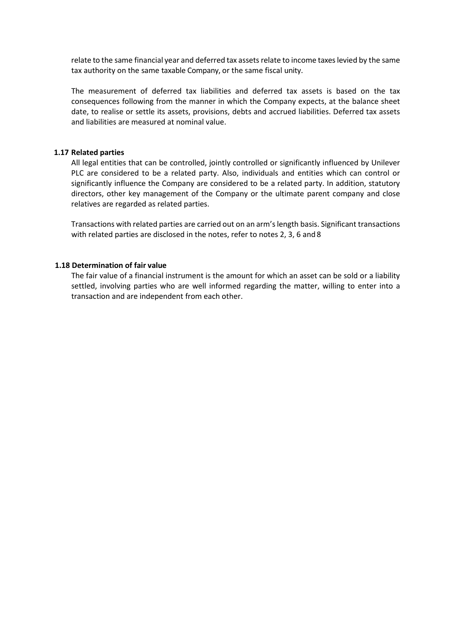relate to the same financial year and deferred tax assets relate to income taxeslevied by the same tax authority on the same taxable Company, or the same fiscal unity.

The measurement of deferred tax liabilities and deferred tax assets is based on the tax consequences following from the manner in which the Company expects, at the balance sheet date, to realise or settle its assets, provisions, debts and accrued liabilities. Deferred tax assets and liabilities are measured at nominal value.

#### **1.17 Related parties**

All legal entities that can be controlled, jointly controlled or significantly influenced by Unilever PLC are considered to be a related party. Also, individuals and entities which can control or significantly influence the Company are considered to be a related party. In addition, statutory directors, other key management of the Company or the ultimate parent company and close relatives are regarded as related parties.

Transactions with related parties are carried out on an arm'slength basis. Significant transactions with related parties are disclosed in the notes, refer to notes 2, 3, 6 and 8

## **1.18 Determination of fair value**

The fair value of a financial instrument is the amount for which an asset can be sold or a liability settled, involving parties who are well informed regarding the matter, willing to enter into a transaction and are independent from each other.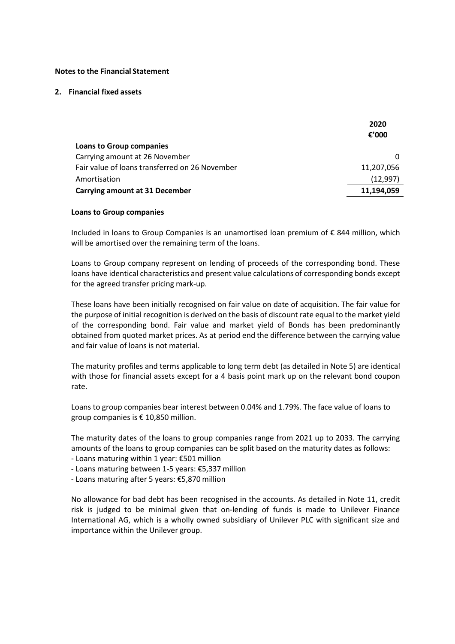#### **Notes to the Financial Statement**

#### **2. Financial fixed assets**

|                                                | 2020       |
|------------------------------------------------|------------|
|                                                | € $'000$   |
| <b>Loans to Group companies</b>                |            |
| Carrying amount at 26 November                 |            |
| Fair value of loans transferred on 26 November | 11,207,056 |
| Amortisation                                   | (12,997)   |
| <b>Carrying amount at 31 December</b>          | 11,194,059 |

#### **Loans to Group companies**

Included in loans to Group Companies is an unamortised loan premium of € 844 million, which will be amortised over the remaining term of the loans.

Loans to Group company represent on lending of proceeds of the corresponding bond. These loans have identical characteristics and present value calculations of corresponding bonds except for the agreed transfer pricing mark-up.

These loans have been initially recognised on fair value on date of acquisition. The fair value for the purpose of initial recognition is derived on the basis of discount rate equal to the market yield of the corresponding bond. Fair value and market yield of Bonds has been predominantly obtained from quoted market prices. As at period end the difference between the carrying value and fair value of loans is not material.

The maturity profiles and terms applicable to long term debt (as detailed in Note 5) are identical with those for financial assets except for a 4 basis point mark up on the relevant bond coupon rate.

Loans to group companies bear interest between 0.04% and 1.79%. The face value of loans to group companies is € 10,850 million.

The maturity dates of the loans to group companies range from 2021 up to 2033. The carrying amounts of the loans to group companies can be split based on the maturity dates as follows:

- Loans maturing within 1 year: €501 million
- Loans maturing between 1-5 years: €5,337 million
- Loans maturing after 5 years: €5,870 million

No allowance for bad debt has been recognised in the accounts. As detailed in Note 11, credit risk is judged to be minimal given that on-lending of funds is made to Unilever Finance International AG, which is a wholly owned subsidiary of Unilever PLC with significant size and importance within the Unilever group.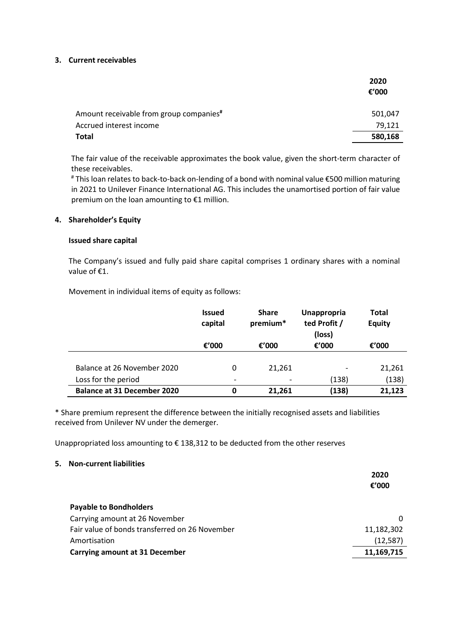#### **3. Current receivables**

|                                                     | 2020     |
|-----------------------------------------------------|----------|
|                                                     | € $'000$ |
| Amount receivable from group companies <sup>#</sup> | 501,047  |
| Accrued interest income                             | 79,121   |
| <b>Total</b>                                        | 580,168  |

The fair value of the receivable approximates the book value, given the short-term character of these receivables.

# This loan relates to back-to-back on-lending of a bond with nominal value €500 million maturing in 2021 to Unilever Finance International AG. This includes the unamortised portion of fair value premium on the loan amounting to €1 million.

## **4. Shareholder's Equity**

#### **Issued share capital**

The Company's issued and fully paid share capital comprises 1 ordinary shares with a nominal value of €1.

Movement in individual items of equity as follows:

|                                    | <b>Issued</b><br>capital | <b>Share</b><br>premium* | <b>Unappropria</b><br>ted Profit /<br>(loss) | Total<br><b>Equity</b> |
|------------------------------------|--------------------------|--------------------------|----------------------------------------------|------------------------|
|                                    | €'000                    | €'000                    | €'000                                        | € $'000$               |
|                                    |                          |                          |                                              |                        |
| Balance at 26 November 2020        | 0                        | 21.261                   |                                              | 21,261                 |
| Loss for the period                | ۰                        | $\overline{\phantom{0}}$ | (138)                                        | (138)                  |
| <b>Balance at 31 December 2020</b> | 0                        | 21,261                   | (138)                                        | 21,123                 |

\* Share premium represent the difference between the initially recognised assets and liabilities received from Unilever NV under the demerger.

Unappropriated loss amounting to € 138,312 to be deducted from the other reserves

#### **5. Non-current liabilities**

|                                                | 2020       |
|------------------------------------------------|------------|
|                                                | € $'000$   |
| <b>Payable to Bondholders</b>                  |            |
| Carrying amount at 26 November                 | 0          |
| Fair value of bonds transferred on 26 November | 11,182,302 |
| Amortisation                                   | (12, 587)  |
| <b>Carrying amount at 31 December</b>          | 11,169,715 |
|                                                |            |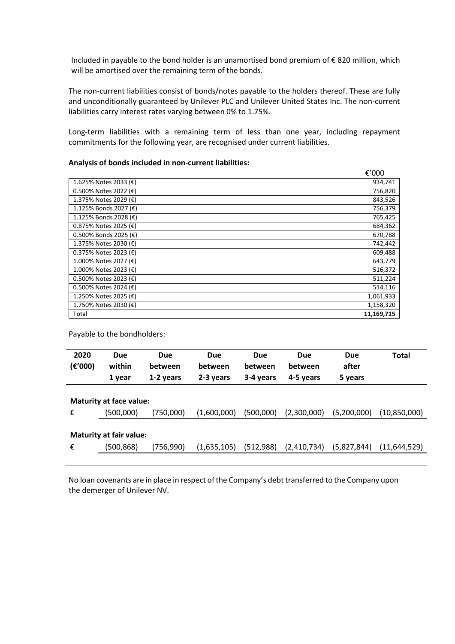Included in payable to the bond holder is an unamortised bond premium of € 820 million, which will be amortised over the remaining term of the bonds.

The non-current liabilities consist of bonds/notes payable to the holders thereof. These are fully and unconditionally guaranteed by Unilever PLC and Unilever United States Inc. The non-current liabilities carry interest rates varying between 0% to 1.75%.

Long-term liabilities with a remaining term of less than one year, including repayment commitments for the following year, are recognised under current liabilities.

#### **Analysis of bonds included in non-current liabilities:**

|                          | €'000      |
|--------------------------|------------|
| 1.625% Notes 2033 (€)    | 934,741    |
| 0.500% Notes 2022 (€)    | 756,820    |
| 1.375% Notes 2029 (€)    | 843,526    |
| 1.125% Bonds 2027 (€)    | 756,379    |
| 1.125% Bonds 2028 (€)    | 765,425    |
| 0.875% Notes 2025 (€)    | 684,362    |
| 0.500% Bonds 2025 (€)    | 670,788    |
| 1.375% Notes 2030 (€)    | 742,442    |
| 0.375% Notes 2023 (€)    | 609,488    |
| 1.000% Notes 2027 (€)    | 643,779    |
| 1.000% Notes 2023 (€)    | 516,372    |
| $0.500\%$ Notes 2023 (€) | 511,224    |
| 0.500% Notes 2024 (€)    | 514,116    |
| 1.250% Notes 2025 (€)    | 1,061,933  |
| 1.750% Notes 2030 (€)    | 1,158,320  |
| Total                    | 11,169,715 |

Payable to the bondholders:

| 2020<br>(E'000) | <b>Due</b><br>within<br>1 year              | <b>Due</b><br>between<br>1-2 years | <b>Due</b><br>between<br>2-3 years | <b>Due</b><br>between<br>3-4 years | <b>Due</b><br>between<br>4-5 years | <b>Due</b><br>after<br>5 years | <b>Total</b> |
|-----------------|---------------------------------------------|------------------------------------|------------------------------------|------------------------------------|------------------------------------|--------------------------------|--------------|
| €               | <b>Maturity at face value:</b><br>(500,000) | (750,000)                          | (1,600,000)                        | (500,000)                          | (2,300,000)                        | (5,200,000)                    | (10,850,000) |
| €               | <b>Maturity at fair value:</b><br>(500,868) | (756,990)                          | (1,635,105)                        | (512,988)                          | (2,410,734)                        | (5,827,844)                    | (11,644,529) |

No loan covenants are in place in respect of the Company's debt transferred to the Company upon the demerger of Unilever NV.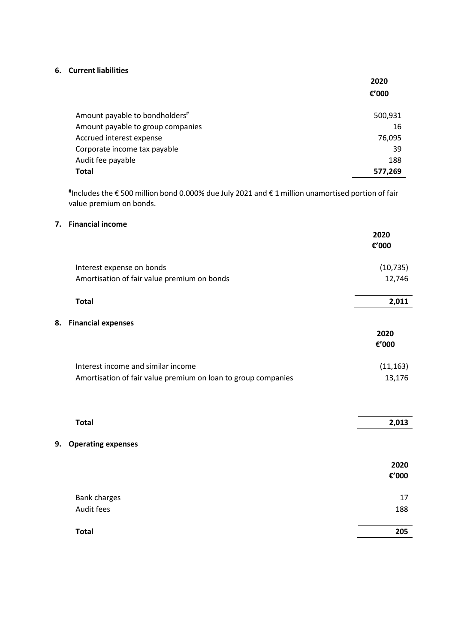## **6. Current liabilities**

|                                            | 2020     |
|--------------------------------------------|----------|
|                                            | € $'000$ |
|                                            |          |
| Amount payable to bondholders <sup>#</sup> | 500,931  |
| Amount payable to group companies          | 16       |
| Accrued interest expense                   | 76,095   |
| Corporate income tax payable               | 39       |
| Audit fee payable                          | 188      |
| <b>Total</b>                               | 577,269  |

**#** Includes the € 500 million bond 0.000% due July 2021 and € 1 million unamortised portion of fair value premium on bonds.

## **7. Financial income**

|                                                               | 2020<br>€'000 |
|---------------------------------------------------------------|---------------|
| Interest expense on bonds                                     | (10, 735)     |
| Amortisation of fair value premium on bonds                   | 12,746        |
| <b>Total</b>                                                  | 2,011         |
| 8.<br><b>Financial expenses</b>                               |               |
|                                                               | 2020<br>€'000 |
| Interest income and similar income                            | (11, 163)     |
| Amortisation of fair value premium on loan to group companies | 13,176        |
|                                                               |               |
| <b>Total</b>                                                  | 2,013         |
| <b>Operating expenses</b><br>9.                               |               |
|                                                               | 2020          |
|                                                               | €'000         |
| <b>Bank charges</b>                                           | 17            |
| Audit fees                                                    | 188           |
| <b>Total</b>                                                  | 205           |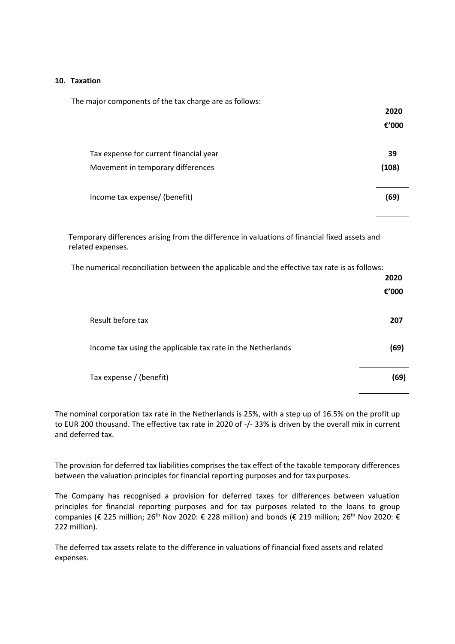#### **10. Taxation**

| The major components of the tax charge are as follows: |          |
|--------------------------------------------------------|----------|
|                                                        | 2020     |
|                                                        | € $'000$ |
| Tax expense for current financial year                 | 39       |
| Movement in temporary differences                      | (108)    |
| Income tax expense/ (benefit)                          | (69)     |

Temporary differences arising from the difference in valuations of financial fixed assets and related expenses.

The numerical reconciliation between the applicable and the effective tax rate is as follows:

|                                                             | 2020<br>€'000 |
|-------------------------------------------------------------|---------------|
| Result before tax                                           | 207           |
| Income tax using the applicable tax rate in the Netherlands | (69)          |
| Tax expense / (benefit)                                     | (69)          |

The nominal corporation tax rate in the Netherlands is 25%, with a step up of 16.5% on the profit up to EUR 200 thousand. The effective tax rate in 2020 of -/- 33% is driven by the overall mix in current and deferred tax.

The provision for deferred tax liabilities comprises the tax effect of the taxable temporary differences between the valuation principles for financial reporting purposes and for tax purposes.

The Company has recognised a provision for deferred taxes for differences between valuation principles for financial reporting purposes and for tax purposes related to the loans to group companies (€ 225 million; 26<sup>th</sup> Nov 2020: € 228 million) and bonds (€ 219 million; 26<sup>th</sup> Nov 2020: € 222 million).

The deferred tax assets relate to the difference in valuations of financial fixed assets and related expenses.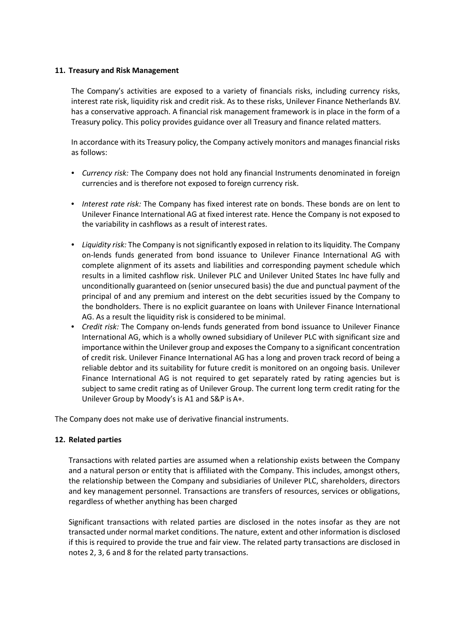## **11. Treasury and Risk Management**

The Company's activities are exposed to a variety of financials risks, including currency risks, interest rate risk, liquidity risk and credit risk. As to these risks, Unilever Finance Netherlands B.V. has a conservative approach. A financial risk management framework is in place in the form of a Treasury policy. This policy provides guidance over all Treasury and finance related matters.

In accordance with its Treasury policy, the Company actively monitors and manages financial risks as follows:

- *Currency risk:* The Company does not hold any financial Instruments denominated in foreign currencies and is therefore not exposed to foreign currency risk.
- *Interest rate risk:* The Company has fixed interest rate on bonds. These bonds are on lent to Unilever Finance International AG at fixed interest rate. Hence the Company is not exposed to the variability in cashflows as a result of interest rates.
- Liquidity risk: The Company is not significantly exposed in relation to its liquidity. The Company on-lends funds generated from bond issuance to Unilever Finance International AG with complete alignment of its assets and liabilities and corresponding payment schedule which results in a limited cashflow risk. Unilever PLC and Unilever United States Inc have fully and unconditionally guaranteed on (senior unsecured basis) the due and punctual payment of the principal of and any premium and interest on the debt securities issued by the Company to the bondholders. There is no explicit guarantee on loans with Unilever Finance International AG. As a result the liquidity risk is considered to be minimal.
- *Credit risk:* The Company on-lends funds generated from bond issuance to Unilever Finance International AG, which is a wholly owned subsidiary of Unilever PLC with significant size and importance within the Unilever group and exposesthe Company to a significant concentration of credit risk. Unilever Finance International AG has a long and proven track record of being a reliable debtor and its suitability for future credit is monitored on an ongoing basis. Unilever Finance International AG is not required to get separately rated by rating agencies but is subject to same credit rating as of Unilever Group. The current long term credit rating for the Unilever Group by Moody's is A1 and S&P is A+.

The Company does not make use of derivative financial instruments.

#### **12. Related parties**

Transactions with related parties are assumed when a relationship exists between the Company and a natural person or entity that is affiliated with the Company. This includes, amongst others, the relationship between the Company and subsidiaries of Unilever PLC, shareholders, directors and key management personnel. Transactions are transfers of resources, services or obligations, regardless of whether anything has been charged

Significant transactions with related parties are disclosed in the notes insofar as they are not transacted under normal market conditions. The nature, extent and other information is disclosed if this is required to provide the true and fair view. The related party transactions are disclosed in notes 2, 3, 6 and 8 for the related party transactions.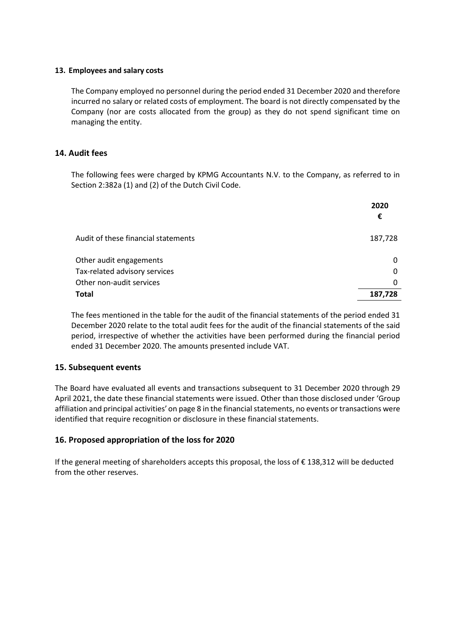## **13. Employees and salary costs**

The Company employed no personnel during the period ended 31 December 2020 and therefore incurred no salary or related costs of employment. The board is not directly compensated by the Company (nor are costs allocated from the group) as they do not spend significant time on managing the entity.

## **14. Audit fees**

The following fees were charged by KPMG Accountants N.V. to the Company, as referred to in Section 2:382a (1) and (2) of the Dutch Civil Code.

|                                     | 2020<br>€ |
|-------------------------------------|-----------|
| Audit of these financial statements | 187,728   |
| Other audit engagements             | 0         |
| Tax-related advisory services       | 0         |
| Other non-audit services            | 0         |
| <b>Total</b>                        | 187,728   |

The fees mentioned in the table for the audit of the financial statements of the period ended 31 December 2020 relate to the total audit fees for the audit of the financial statements of the said period, irrespective of whether the activities have been performed during the financial period ended 31 December 2020. The amounts presented include VAT.

## **15. Subsequent events**

The Board have evaluated all events and transactions subsequent to 31 December 2020 through 29 April 2021, the date these financial statements were issued. Other than those disclosed under 'Group affiliation and principal activities' on page 8 in the financial statements, no events or transactions were identified that require recognition or disclosure in these financial statements.

## **16. Proposed appropriation of the loss for 2020**

If the generaI meeting of sharehoIders accepts this proposaI, the loss of € 138,312 wiII be deducted from the other reserves.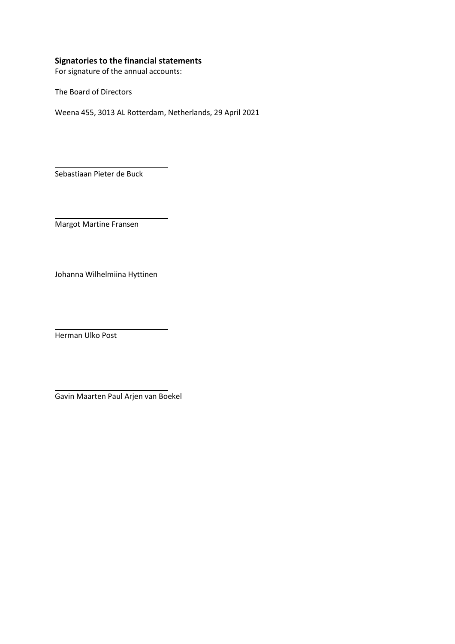## **Signatories to the financial statements**

For signature of the annual accounts:

The Board of Directors

Weena 455, 3013 AL Rotterdam, Netherlands, 29 April 2021

Sebastiaan Pieter de Buck

Margot Martine Fransen

Johanna Wilhelmiina Hyttinen

Herman Ulko Post

Gavin Maarten Paul Arjen van Boekel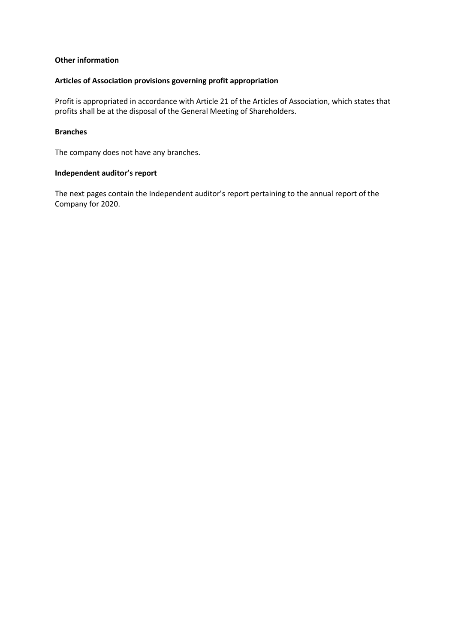## **Other information**

#### **Articles of Association provisions governing profit appropriation**

Profit is appropriated in accordance with Article 21 of the Articles of Association, which states that profits shall be at the disposal of the General Meeting of Shareholders.

## **Branches**

The company does not have any branches.

## **Independent auditor's report**

The next pages contain the Independent auditor's report pertaining to the annual report of the Company for 2020.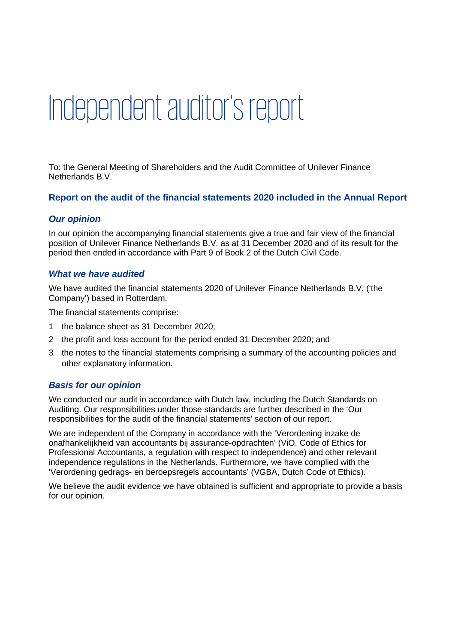# Independent auditor's report

To: the General Meeting of Shareholders and the Audit Committee of Unilever Finance Netherlands B.V.

## **Report on the audit of the financial statements 2020 included in the Annual Report**

## *Our opinion*

In our opinion the accompanying financial statements give a true and fair view of the financial position of Unilever Finance Netherlands B.V. as at 31 December 2020 and of its result for the period then ended in accordance with Part 9 of Book 2 of the Dutch Civil Code.

## *What we have audited*

We have audited the financial statements 2020 of Unilever Finance Netherlands B.V. ('the Company') based in Rotterdam.

The financial statements comprise:

- 1 the balance sheet as 31 December 2020;
- 2 the profit and loss account for the period ended 31 December 2020; and
- 3 the notes to the financial statements comprising a summary of the accounting policies and other explanatory information.

## *Basis for our opinion*

We conducted our audit in accordance with Dutch law, including the Dutch Standards on Auditing. Our responsibilities under those standards are further described in the 'Our responsibilities for the audit of the financial statements' section of our report.

We are independent of the Company in accordance with the 'Verordening inzake de onafhankelijkheid van accountants bij assurance-opdrachten' (ViO, Code of Ethics for Professional Accountants, a regulation with respect to independence) and other relevant independence regulations in the Netherlands. Furthermore, we have complied with the 'Verordening gedrags- en beroepsregels accountants' (VGBA, Dutch Code of Ethics).

We believe the audit evidence we have obtained is sufficient and appropriate to provide a basis for our opinion.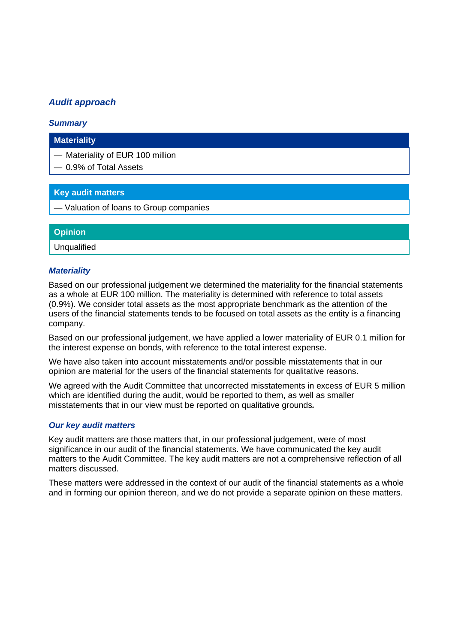## *Audit approach*

## *Summary*

## **Materiality**

— Materiality of EUR 100 million

— 0.9% of Total Assets

## **Key audit matters**

— Valuation of loans to Group companies

# **Opinion**

Unqualified

## *Materiality*

Based on our professional judgement we determined the materiality for the financial statements as a whole at EUR 100 million. The materiality is determined with reference to total assets (0.9%). We consider total assets as the most appropriate benchmark as the attention of the users of the financial statements tends to be focused on total assets as the entity is a financing company.

Based on our professional judgement, we have applied a lower materiality of EUR 0.1 million for the interest expense on bonds, with reference to the total interest expense.

We have also taken into account misstatements and/or possible misstatements that in our opinion are material for the users of the financial statements for qualitative reasons.

We agreed with the Audit Committee that uncorrected misstatements in excess of EUR 5 million which are identified during the audit, would be reported to them, as well as smaller misstatements that in our view must be reported on qualitative grounds*.* 

## *Our key audit matters*

Key audit matters are those matters that, in our professional judgement, were of most significance in our audit of the financial statements. We have communicated the key audit matters to the Audit Committee. The key audit matters are not a comprehensive reflection of all matters discussed.

These matters were addressed in the context of our audit of the financial statements as a whole and in forming our opinion thereon, and we do not provide a separate opinion on these matters.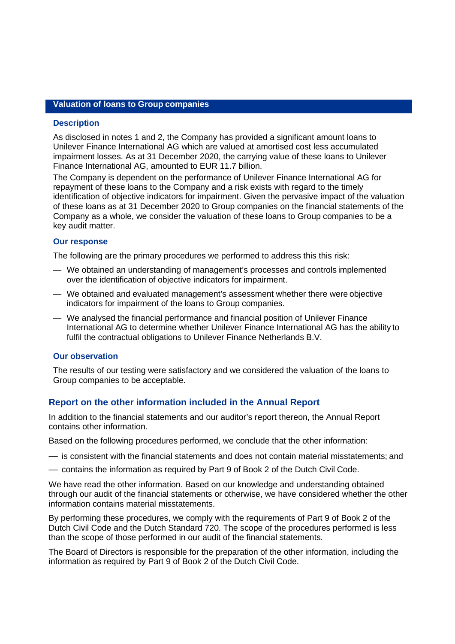## **Valuation of loans to Group companies**

#### **Description**

As disclosed in notes 1 and 2, the Company has provided a significant amount loans to Unilever Finance International AG which are valued at amortised cost less accumulated impairment losses. As at 31 December 2020, the carrying value of these loans to Unilever Finance International AG, amounted to EUR 11.7 billion.

The Company is dependent on the performance of Unilever Finance International AG for repayment of these loans to the Company and a risk exists with regard to the timely identification of objective indicators for impairment. Given the pervasive impact of the valuation of these loans as at 31 December 2020 to Group companies on the financial statements of the Company as a whole, we consider the valuation of these loans to Group companies to be a key audit matter.

## **Our response**

The following are the primary procedures we performed to address this this risk:

- We obtained an understanding of management's processes and controls implemented over the identification of objective indicators for impairment.
- We obtained and evaluated management's assessment whether there were objective indicators for impairment of the loans to Group companies.
- We analysed the financial performance and financial position of Unilever Finance International AG to determine whether Unilever Finance International AG has the ability to fulfil the contractual obligations to Unilever Finance Netherlands B.V.

## **Our observation**

The results of our testing were satisfactory and we considered the valuation of the loans to Group companies to be acceptable.

## **Report on the other information included in the Annual Report**

In addition to the financial statements and our auditor's report thereon, the Annual Report contains other information.

Based on the following procedures performed, we conclude that the other information:

- is consistent with the financial statements and does not contain material misstatements; and
- contains the information as required by Part 9 of Book 2 of the Dutch Civil Code.

We have read the other information. Based on our knowledge and understanding obtained through our audit of the financial statements or otherwise, we have considered whether the other information contains material misstatements.

By performing these procedures, we comply with the requirements of Part 9 of Book 2 of the Dutch Civil Code and the Dutch Standard 720. The scope of the procedures performed is less than the scope of those performed in our audit of the financial statements.

The Board of Directors is responsible for the preparation of the other information, including the information as required by Part 9 of Book 2 of the Dutch Civil Code.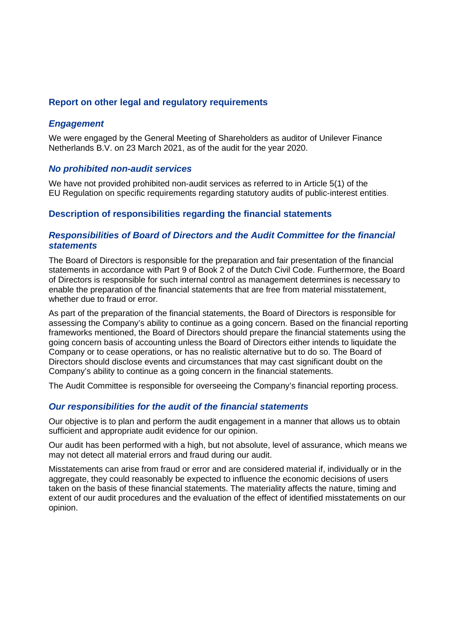## **Report on other legal and regulatory requirements**

## *Engagement*

We were engaged by the General Meeting of Shareholders as auditor of Unilever Finance Netherlands B.V. on 23 March 2021, as of the audit for the year 2020.

## *No prohibited non-audit services*

We have not provided prohibited non-audit services as referred to in Article 5(1) of the EU Regulation on specific requirements regarding statutory audits of public-interest entities.

## **Description of responsibilities regarding the financial statements**

## *Responsibilities of Board of Directors and the Audit Committee for the financial statements*

The Board of Directors is responsible for the preparation and fair presentation of the financial statements in accordance with Part 9 of Book 2 of the Dutch Civil Code. Furthermore, the Board of Directors is responsible for such internal control as management determines is necessary to enable the preparation of the financial statements that are free from material misstatement, whether due to fraud or error.

As part of the preparation of the financial statements, the Board of Directors is responsible for assessing the Company's ability to continue as a going concern. Based on the financial reporting frameworks mentioned, the Board of Directors should prepare the financial statements using the going concern basis of accounting unless the Board of Directors either intends to liquidate the Company or to cease operations, or has no realistic alternative but to do so. The Board of Directors should disclose events and circumstances that may cast significant doubt on the Company's ability to continue as a going concern in the financial statements.

The Audit Committee is responsible for overseeing the Company's financial reporting process.

## *Our responsibilities for the audit of the financial statements*

Our objective is to plan and perform the audit engagement in a manner that allows us to obtain sufficient and appropriate audit evidence for our opinion.

Our audit has been performed with a high, but not absolute, level of assurance, which means we may not detect all material errors and fraud during our audit.

Misstatements can arise from fraud or error and are considered material if, individually or in the aggregate, they could reasonably be expected to influence the economic decisions of users taken on the basis of these financial statements. The materiality affects the nature, timing and extent of our audit procedures and the evaluation of the effect of identified misstatements on our opinion.